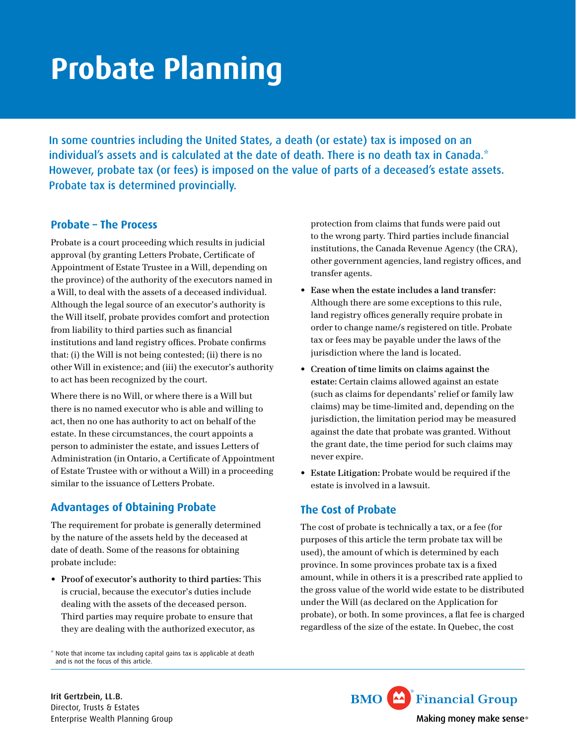# **Probate Planning**

In some countries including the United States, a death (or estate) tax is imposed on an individual's assets and is calculated at the date of death. There is no death tax in Canada.\* However, probate tax (or fees) is imposed on the value of parts of a deceased's estate assets. Probate tax is determined provincially.

## **Probate – The Process**

Probate is a court proceeding which results in judicial approval (by granting Letters Probate, Certificate of Appointment of Estate Trustee in a Will, depending on the province) of the authority of the executors named in a Will, to deal with the assets of a deceased individual. Although the legal source of an executor's authority is the Will itself, probate provides comfort and protection from liability to third parties such as financial institutions and land registry offices. Probate confirms that: (i) the Will is not being contested; (ii) there is no other Will in existence; and (iii) the executor's authority to act has been recognized by the court.

Where there is no Will, or where there is a Will but there is no named executor who is able and willing to act, then no one has authority to act on behalf of the estate. In these circumstances, the court appoints a person to administer the estate, and issues Letters of Administration (in Ontario, a Certificate of Appointment of Estate Trustee with or without a Will) in a proceeding similar to the issuance of Letters Probate.

# **Advantages of Obtaining Probate**

The requirement for probate is generally determined by the nature of the assets held by the deceased at date of death. Some of the reasons for obtaining probate include:

• **Proof of executor's authority to third parties:** This is crucial, because the executor's duties include dealing with the assets of the deceased person. Third parties may require probate to ensure that they are dealing with the authorized executor, as

\* Note that income tax including capital gains tax is applicable at death and is not the focus of this article.

protection from claims that funds were paid out to the wrong party. Third parties include financial institutions, the Canada Revenue Agency (the CRA), other government agencies, land registry offices, and transfer agents.

- **Ease when the estate includes a land transfer:**  Although there are some exceptions to this rule, land registry offices generally require probate in order to change name/s registered on title. Probate tax or fees may be payable under the laws of the jurisdiction where the land is located.
- **Creation of time limits on claims against the estate:** Certain claims allowed against an estate (such as claims for dependants' relief or family law claims) may be time-limited and, depending on the jurisdiction, the limitation period may be measured against the date that probate was granted. Without the grant date, the time period for such claims may never expire.
- • **Estate Litigation:** Probate would be required if the estate is involved in a lawsuit.

# **The Cost of Probate**

The cost of probate is technically a tax, or a fee (for purposes of this article the term probate tax will be used), the amount of which is determined by each province. In some provinces probate tax is a fixed amount, while in others it is a prescribed rate applied to the gross value of the world wide estate to be distributed under the Will (as declared on the Application for probate), or both. In some provinces, a flat fee is charged regardless of the size of the estate. In Quebec, the cost

**BMO** Financial Group Making money make sense®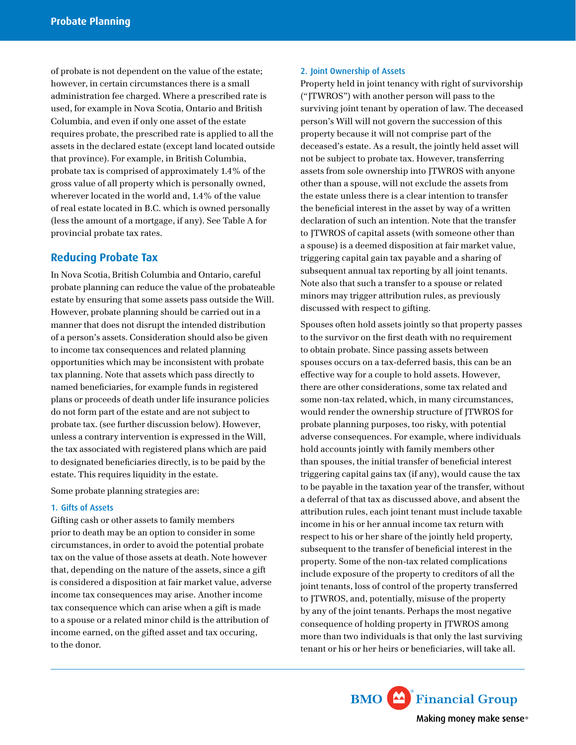of probate is not dependent on the value of the estate; however, in certain circumstances there is a small administration fee charged. Where a prescribed rate is used, for example in Nova Scotia, Ontario and British Columbia, and even if only one asset of the estate requires probate, the prescribed rate is applied to all the assets in the declared estate (except land located outside that province). For example, in British Columbia, probate tax is comprised of approximately 1.4% of the gross value of all property which is personally owned, wherever located in the world and, 1.4% of the value of real estate located in B.C. which is owned personally (less the amount of a mortgage, if any). See Table A for provincial probate tax rates.

## **Reducing Probate Tax**

In Nova Scotia, British Columbia and Ontario, careful probate planning can reduce the value of the probateable estate by ensuring that some assets pass outside the Will. However, probate planning should be carried out in a manner that does not disrupt the intended distribution of a person's assets. Consideration should also be given to income tax consequences and related planning opportunities which may be inconsistent with probate tax planning. Note that assets which pass directly to named beneficiaries, for example funds in registered plans or proceeds of death under life insurance policies do not form part of the estate and are not subject to probate tax. (see further discussion below). However, unless a contrary intervention is expressed in the Will, the tax associated with registered plans which are paid to designated beneficiaries directly, is to be paid by the estate. This requires liquidity in the estate.

Some probate planning strategies are:

#### 1. Gifts of Assets

Gifting cash or other assets to family members prior to death may be an option to consider in some circumstances, in order to avoid the potential probate tax on the value of those assets at death. Note however that, depending on the nature of the assets, since a gift is considered a disposition at fair market value, adverse income tax consequences may arise. Another income tax consequence which can arise when a gift is made to a spouse or a related minor child is the attribution of income earned, on the gifted asset and tax occuring, to the donor.

#### 2. Joint Ownership of Assets

Property held in joint tenancy with right of survivorship ("JTWROS") with another person will pass to the surviving joint tenant by operation of law. The deceased person's Will will not govern the succession of this property because it will not comprise part of the deceased's estate. As a result, the jointly held asset will not be subject to probate tax. However, transferring assets from sole ownership into JTWROS with anyone other than a spouse, will not exclude the assets from the estate unless there is a clear intention to transfer the beneficial interest in the asset by way of a written declaration of such an intention. Note that the transfer to JTWROS of capital assets (with someone other than a spouse) is a deemed disposition at fair market value, triggering capital gain tax payable and a sharing of subsequent annual tax reporting by all joint tenants. Note also that such a transfer to a spouse or related minors may trigger attribution rules, as previously discussed with respect to gifting.

Spouses often hold assets jointly so that property passes to the survivor on the first death with no requirement to obtain probate. Since passing assets between spouses occurs on a tax-deferred basis, this can be an effective way for a couple to hold assets. However, there are other considerations, some tax related and some non-tax related, which, in many circumstances, would render the ownership structure of JTWROS for probate planning purposes, too risky, with potential adverse consequences. For example, where individuals hold accounts jointly with family members other than spouses, the initial transfer of beneficial interest triggering capital gains tax (if any), would cause the tax to be payable in the taxation year of the transfer, without a deferral of that tax as discussed above, and absent the attribution rules, each joint tenant must include taxable income in his or her annual income tax return with respect to his or her share of the jointly held property, subsequent to the transfer of beneficial interest in the property. Some of the non-tax related complications include exposure of the property to creditors of all the joint tenants, loss of control of the property transferred to JTWROS, and, potentially, misuse of the property by any of the joint tenants. Perhaps the most negative consequence of holding property in JTWROS among more than two individuals is that only the last surviving tenant or his or her heirs or beneficiaries, will take all.

> **BMO** Financial Group Making money make sense®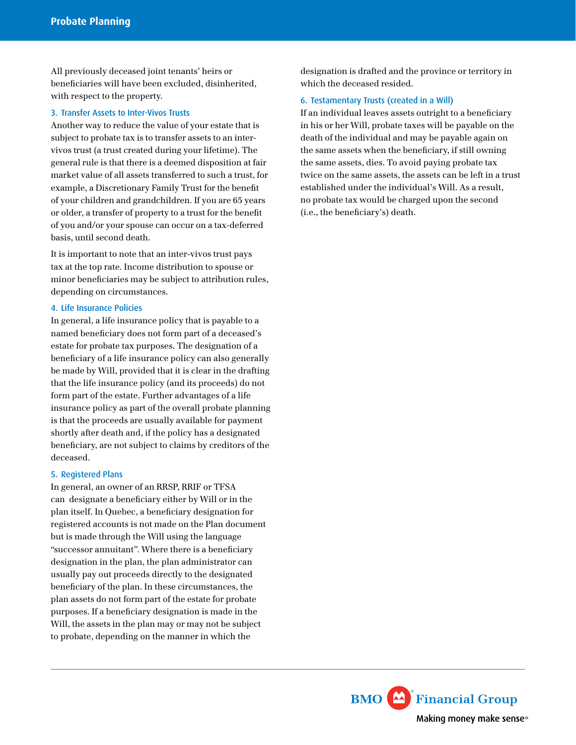All previously deceased joint tenants' heirs or beneficiaries will have been excluded, disinherited, with respect to the property.

#### 3. Transfer Assets to Inter-Vivos Trusts

Another way to reduce the value of your estate that is subject to probate tax is to transfer assets to an intervivos trust (a trust created during your lifetime). The general rule is that there is a deemed disposition at fair market value of all assets transferred to such a trust, for example, a Discretionary Family Trust for the benefit of your children and grandchildren. If you are 65 years or older, a transfer of property to a trust for the benefit of you and/or your spouse can occur on a tax-deferred basis, until second death.

It is important to note that an inter-vivos trust pays tax at the top rate. Income distribution to spouse or minor beneficiaries may be subject to attribution rules, depending on circumstances.

#### 4. Life Insurance Policies

In general, a life insurance policy that is payable to a named beneficiary does not form part of a deceased's estate for probate tax purposes. The designation of a beneficiary of a life insurance policy can also generally be made by Will, provided that it is clear in the drafting that the life insurance policy (and its proceeds) do not form part of the estate. Further advantages of a life insurance policy as part of the overall probate planning is that the proceeds are usually available for payment shortly after death and, if the policy has a designated beneficiary, are not subject to claims by creditors of the deceased.

#### 5. Registered Plans

In general, an owner of an RRSP, RRIF or TFSA can designate a beneficiary either by Will or in the plan itself. In Quebec, a beneficiary designation for registered accounts is not made on the Plan document but is made through the Will using the language "successor annuitant". Where there is a beneficiary designation in the plan, the plan administrator can usually pay out proceeds directly to the designated beneficiary of the plan. In these circumstances, the plan assets do not form part of the estate for probate purposes. If a beneficiary designation is made in the Will, the assets in the plan may or may not be subject to probate, depending on the manner in which the

designation is drafted and the province or territory in which the deceased resided.

#### 6. Testamentary Trusts (created in a Will)

If an individual leaves assets outright to a beneficiary in his or her Will, probate taxes will be payable on the death of the individual and may be payable again on the same assets when the beneficiary, if still owning the same assets, dies. To avoid paying probate tax twice on the same assets, the assets can be left in a trust established under the individual's Will. As a result, no probate tax would be charged upon the second (i.e., the beneficiary's) death.

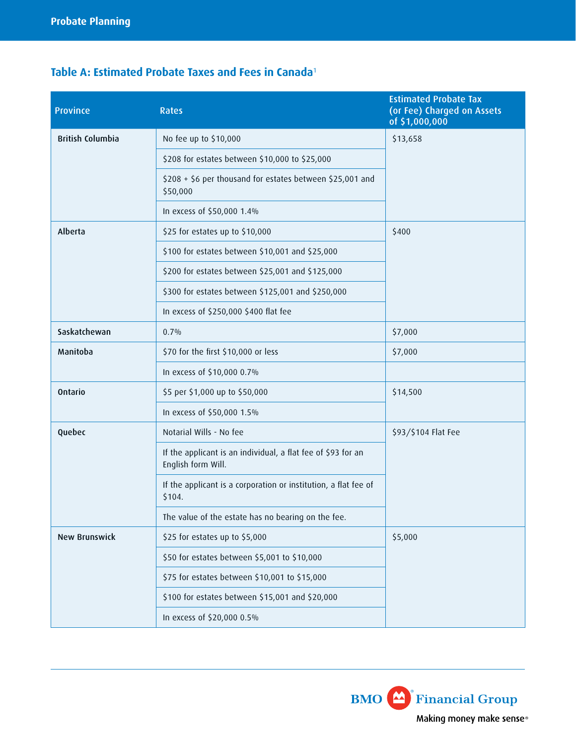# **Table A: Estimated Probate Taxes and Fees in Canada**<sup>1</sup>

| <b>Province</b>         | <b>Rates</b>                                                                       | <b>Estimated Probate Tax</b><br>(or Fee) Charged on Assets<br>of \$1,000,000 |
|-------------------------|------------------------------------------------------------------------------------|------------------------------------------------------------------------------|
| <b>British Columbia</b> | No fee up to \$10,000                                                              | \$13,658                                                                     |
|                         | \$208 for estates between \$10,000 to \$25,000                                     |                                                                              |
|                         | \$208 + \$6 per thousand for estates between \$25,001 and<br>\$50,000              |                                                                              |
|                         | In excess of \$50,000 1.4%                                                         |                                                                              |
| Alberta                 | \$25 for estates up to \$10,000                                                    | \$400                                                                        |
|                         | \$100 for estates between \$10,001 and \$25,000                                    |                                                                              |
|                         | \$200 for estates between \$25,001 and \$125,000                                   |                                                                              |
|                         | \$300 for estates between \$125,001 and \$250,000                                  |                                                                              |
|                         | In excess of \$250,000 \$400 flat fee                                              |                                                                              |
| Saskatchewan            | $0.7\%$                                                                            | \$7,000                                                                      |
| Manitoba                | \$70 for the first \$10,000 or less                                                | \$7,000                                                                      |
|                         | In excess of \$10,000 0.7%                                                         |                                                                              |
| Ontario                 | \$5 per \$1,000 up to \$50,000                                                     | \$14,500                                                                     |
|                         | In excess of \$50,000 1.5%                                                         |                                                                              |
| Quebec                  | Notarial Wills - No fee                                                            | \$93/\$104 Flat Fee                                                          |
|                         | If the applicant is an individual, a flat fee of \$93 for an<br>English form Will. |                                                                              |
|                         | If the applicant is a corporation or institution, a flat fee of<br>\$104.          |                                                                              |
|                         | The value of the estate has no bearing on the fee.                                 |                                                                              |
| <b>New Brunswick</b>    | \$25 for estates up to \$5,000                                                     | \$5,000                                                                      |
|                         | \$50 for estates between \$5,001 to \$10,000                                       |                                                                              |
|                         | \$75 for estates between \$10,001 to \$15,000                                      |                                                                              |
|                         | \$100 for estates between \$15,001 and \$20,000                                    |                                                                              |
|                         | In excess of \$20,000 0.5%                                                         |                                                                              |

**BMO** Financial Group Making money make sense®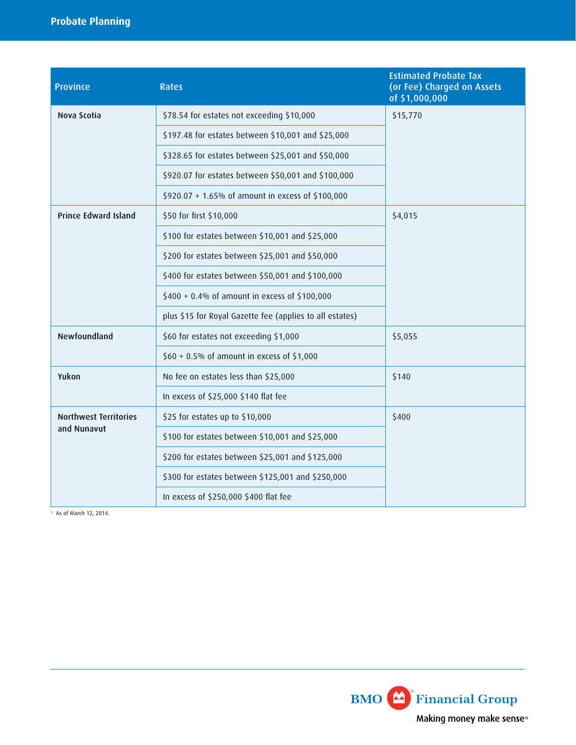# **Probate Planning**

| <b>Province</b>                             | <b>Rates</b>                                             | <b>Estimated Probate Tax</b><br>(or Fee) Charged on Assets<br>of \$1,000,000 |
|---------------------------------------------|----------------------------------------------------------|------------------------------------------------------------------------------|
| Nova Scotia                                 | \$78.54 for estates not exceeding \$10,000               | \$15,770                                                                     |
|                                             | \$197.48 for estates between \$10,001 and \$25,000       |                                                                              |
|                                             | \$328.65 for estates between \$25,001 and \$50,000       |                                                                              |
|                                             | \$920.07 for estates between \$50,001 and \$100,000      |                                                                              |
|                                             | \$920.07 + 1.65% of amount in excess of \$100,000        |                                                                              |
| Prince Edward Island                        | \$50 for first \$10,000                                  | \$4,015                                                                      |
|                                             | \$100 for estates between \$10,001 and \$25,000          |                                                                              |
|                                             | \$200 for estates between \$25,001 and \$50,000          |                                                                              |
|                                             | \$400 for estates between \$50,001 and \$100,000         |                                                                              |
|                                             | \$400 + 0.4% of amount in excess of \$100,000            |                                                                              |
|                                             | plus \$15 for Royal Gazette fee (applies to all estates) |                                                                              |
| Newfoundland                                | \$60 for estates not exceeding \$1,000                   | \$5,055                                                                      |
|                                             | $$60 + 0.5\%$ of amount in excess of \$1,000             |                                                                              |
| Yukon                                       | No fee on estates less than \$25,000                     | \$140                                                                        |
|                                             | In excess of \$25,000 \$140 flat fee                     |                                                                              |
| <b>Northwest Territories</b><br>and Nunavut | \$25 for estates up to \$10,000                          | \$400                                                                        |
|                                             | \$100 for estates between \$10,001 and \$25,000          |                                                                              |
|                                             | \$200 for estates between \$25,001 and \$125,000         |                                                                              |
|                                             | \$300 for estates between \$125,001 and \$250,000        |                                                                              |
|                                             | In excess of \$250,000 \$400 flat fee                    |                                                                              |

1 As of March 12, 2014.